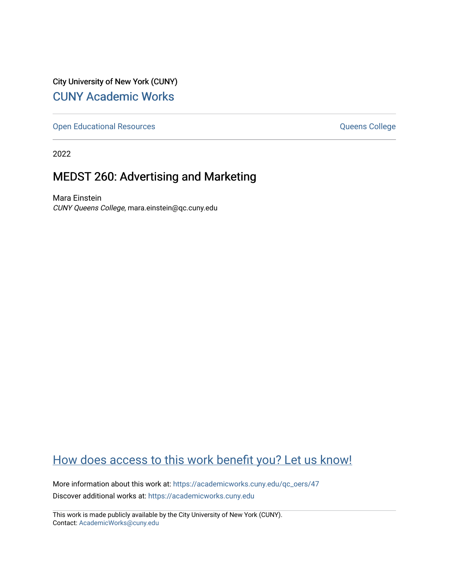City University of New York (CUNY) [CUNY Academic Works](https://academicworks.cuny.edu/) 

[Open Educational Resources](https://academicworks.cuny.edu/qc_oers) **College** Queens College

2022

## MEDST 260: Advertising and Marketing

Mara Einstein CUNY Queens College, mara.einstein@qc.cuny.edu

# [How does access to this work benefit you? Let us know!](http://ols.cuny.edu/academicworks/?ref=https://academicworks.cuny.edu/qc_oers/47)

More information about this work at: [https://academicworks.cuny.edu/qc\\_oers/47](https://academicworks.cuny.edu/qc_oers/47) Discover additional works at: [https://academicworks.cuny.edu](https://academicworks.cuny.edu/?)

This work is made publicly available by the City University of New York (CUNY). Contact: [AcademicWorks@cuny.edu](mailto:AcademicWorks@cuny.edu)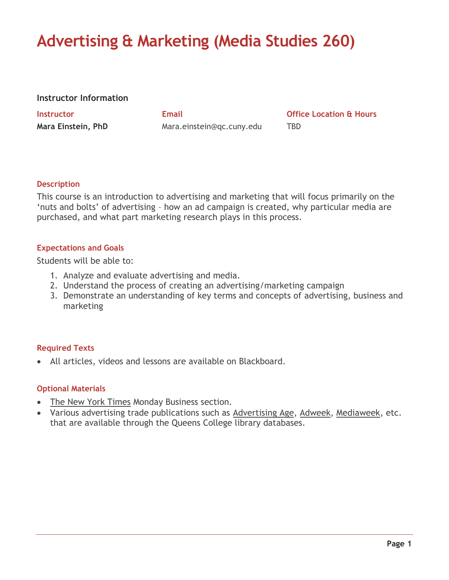# **Advertising & Marketing (Media Studies 260)**

#### **Instructor Information**

**Mara Einstein, PhD** Mara.einstein@qc.cuny.edu TBD

**Instructor Email Office Location & Hours**

#### **Description**

This course is an introduction to advertising and marketing that will focus primarily on the 'nuts and bolts' of advertising – how an ad campaign is created, why particular media are purchased, and what part marketing research plays in this process.

#### **Expectations and Goals**

Students will be able to:

- 1. Analyze and evaluate advertising and media.
- 2. Understand the process of creating an advertising/marketing campaign
- 3. Demonstrate an understanding of key terms and concepts of advertising, business and marketing

#### **Required Texts**

• All articles, videos and lessons are available on Blackboard.

#### **Optional Materials**

- The New York Times Monday Business section.
- Various advertising trade publications such as Advertising Age, Adweek, Mediaweek, etc. that are available through the Queens College library databases.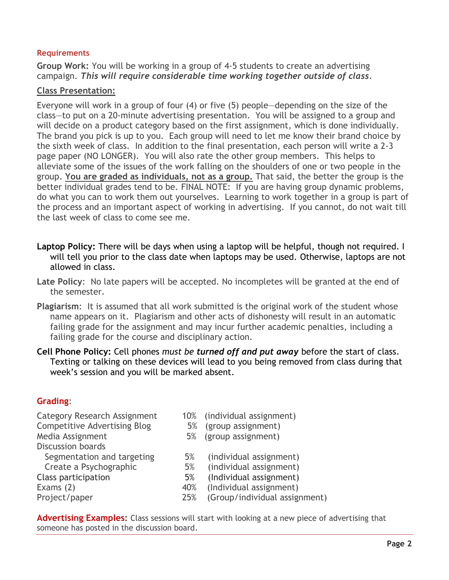#### **Requirements**

**Group Work:** You will be working in a group of 4-5 students to create an advertising campaign. *This will require considerable time working together outside of class.*

#### **Class Presentation:**

Everyone will work in a group of four (4) or five (5) people—depending on the size of the class—to put on a 20-minute advertising presentation. You will be assigned to a group and will decide on a product category based on the first assignment, which is done individually. The brand you pick is up to you. Each group will need to let me know their brand choice by the sixth week of class. In addition to the final presentation, each person will write a 2-3 page paper (NO LONGER). You will also rate the other group members. This helps to alleviate some of the issues of the work falling on the shoulders of one or two people in the group. **You are graded as individuals, not as a group.** That said, the better the group is the better individual grades tend to be. FINAL NOTE: If you are having group dynamic problems, do what you can to work them out yourselves. Learning to work together in a group is part of the process and an important aspect of working in advertising. If you cannot, do not wait till the last week of class to come see me.

- **Laptop Policy:** There will be days when using a laptop will be helpful, though not required. I will tell you prior to the class date when laptops may be used. Otherwise, laptops are not allowed in class.
- **Late Policy**: No late papers will be accepted. No incompletes will be granted at the end of the semester.
- **Plagiarism**: It is assumed that all work submitted is the original work of the student whose name appears on it. Plagiarism and other acts of dishonesty will result in an automatic failing grade for the assignment and may incur further academic penalties, including a failing grade for the course and disciplinary action.
- **Cell Phone Policy:** Cell phones *must be turned off and put away* before the start of class. Texting or talking on these devices will lead to you being removed from class during that week's session and you will be marked absent.

#### **Grading**:

- Category Research Assignment 10% (individual assignment) Competitive Advertising Blog 5% (group assignment) Media Assignment 5% (group assignment) Discussion boards Segmentation and targeting 5% (individual assignment) Create a Psychographic 5% (individual assignment) Class participation 5% (Individual assignment) Exams (2) and the same control of the 40% (Individual assignment) Project/paper 25% (Group/individual assignment)
	-
	-
	-
	-
	-
	-
	-
	-

**Advertising Examples:** Class sessions will start with looking at a new piece of advertising that someone has posted in the discussion board.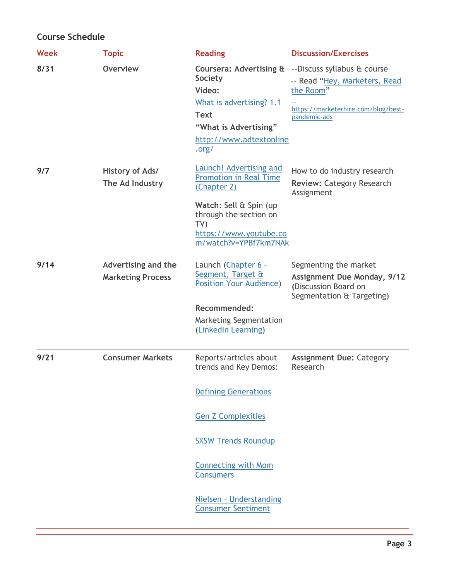### **Course Schedule**

| <b>Week</b> | <b>Topic</b>                                           | <b>Reading</b>                                                                                                                                                                       | <b>Discussion/Exercises</b>                                                                                                      |
|-------------|--------------------------------------------------------|--------------------------------------------------------------------------------------------------------------------------------------------------------------------------------------|----------------------------------------------------------------------------------------------------------------------------------|
| 8/31        | <b>Overview</b>                                        | Coursera: Advertising &<br><b>Society</b><br>Video:<br>What is advertising? 1.1<br><b>Text</b><br>"What is Advertising"<br>http://www.adtextonline<br><u>.org/</u>                   | --Discuss syllabus & course<br>-- Read "Hey, Marketers, Read<br>the Room"<br>https://marketerhire.com/blog/best-<br>pandemic-ads |
| 9/7         | History of Ads/<br>The Ad Industry                     | Launch! Advertising and<br><b>Promotion in Real Time</b><br>(Chapter 2)<br>Watch: Sell & Spin (up<br>through the section on<br>TV<br>https://www.youtube.co<br>m/watch?v=YPBf7km7NAk | How to do industry research<br><b>Review: Category Research</b><br>Assignment                                                    |
| 9/14        | <b>Advertising and the</b><br><b>Marketing Process</b> | Launch (Chapter 6 -<br>Segment, Target &<br><b>Position Your Audience)</b><br><b>Recommended:</b><br><b>Marketing Segmentation</b>                                                   | Segmenting the market<br><b>Assignment Due Monday, 9/12</b><br>(Discussion Board on<br>Segmentation & Targeting)                 |
| 9/21        | <b>Consumer Markets</b>                                | (LinkedIn Learning)<br>Reports/articles about<br>trends and Key Demos:<br><b>Defining Generations</b>                                                                                | <b>Assignment Due: Category</b><br>Research                                                                                      |
|             |                                                        | <b>Gen Z Complexities</b><br><b>SXSW Trends Roundup</b><br><b>Connecting with Mom</b><br><b>Consumers</b><br>Nielsen - Understanding<br><b>Consumer Sentiment</b>                    |                                                                                                                                  |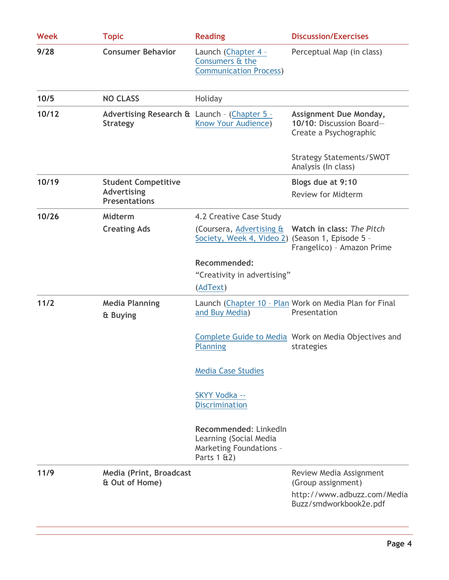| <b>Week</b> | <b>Topic</b>                                                             | <b>Reading</b>                                                                                       | <b>Discussion/Exercises</b>                                                      |  |
|-------------|--------------------------------------------------------------------------|------------------------------------------------------------------------------------------------------|----------------------------------------------------------------------------------|--|
| 9/28        | <b>Consumer Behavior</b>                                                 | Launch (Chapter 4 -<br>Consumers & the<br><b>Communication Process)</b>                              | Perceptual Map (in class)                                                        |  |
| 10/5        | <b>NO CLASS</b>                                                          | Holiday                                                                                              |                                                                                  |  |
| 10/12       | Advertising Research & Launch - (Chapter 5 -<br><b>Strategy</b>          | Know Your Audience)                                                                                  | Assignment Due Monday,<br>10/10: Discussion Board-<br>Create a Psychographic     |  |
|             |                                                                          |                                                                                                      | <b>Strategy Statements/SWOT</b><br>Analysis (In class)                           |  |
| 10/19       | <b>Student Competitive</b><br><b>Advertising</b><br><b>Presentations</b> |                                                                                                      | Blogs due at 9:10<br><b>Review for Midterm</b>                                   |  |
| 10/26       | <b>Midterm</b>                                                           | 4.2 Creative Case Study                                                                              |                                                                                  |  |
|             | <b>Creating Ads</b>                                                      | Society, Week 4, Video 2) (Season 1, Episode 5 -                                                     | (Coursera, Advertising & Watch in class: The Pitch<br>Frangelico) - Amazon Prime |  |
|             |                                                                          | Recommended:                                                                                         |                                                                                  |  |
|             |                                                                          | "Creativity in advertising"                                                                          |                                                                                  |  |
|             |                                                                          | (AdText)                                                                                             |                                                                                  |  |
| 11/2        | <b>Media Planning</b><br>& Buying                                        | and Buy Media)                                                                                       | Launch (Chapter 10 - Plan Work on Media Plan for Final<br>Presentation           |  |
|             |                                                                          | Planning                                                                                             | Complete Guide to Media Work on Media Objectives and<br>strategies               |  |
|             |                                                                          | <b>Media Case Studies</b>                                                                            |                                                                                  |  |
|             |                                                                          | <b>SKYY Vodka --</b><br><b>Discrimination</b>                                                        |                                                                                  |  |
|             |                                                                          | Recommended: LinkedIn<br>Learning (Social Media<br><b>Marketing Foundations -</b><br>Parts $1 \& 2)$ |                                                                                  |  |
| 11/9        | Media (Print, Broadcast<br>& Out of Home)                                |                                                                                                      | Review Media Assignment<br>(Group assignment)                                    |  |
|             |                                                                          |                                                                                                      | http://www.adbuzz.com/Media<br>Buzz/smdworkbook2e.pdf                            |  |
|             |                                                                          |                                                                                                      |                                                                                  |  |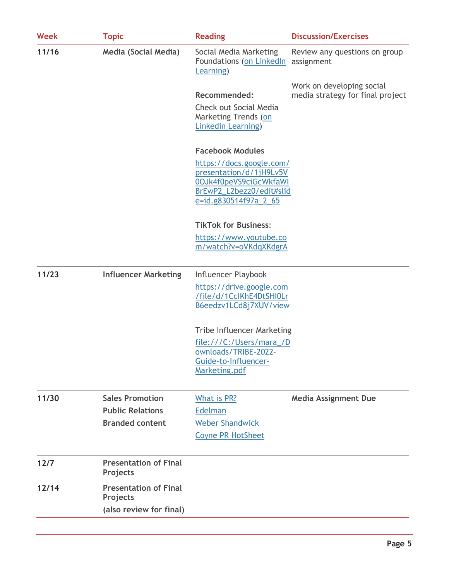| <b>Week</b> | <b>Topic</b>                             | <b>Reading</b>                                                                                                                     | <b>Discussion/Exercises</b>                 |  |
|-------------|------------------------------------------|------------------------------------------------------------------------------------------------------------------------------------|---------------------------------------------|--|
| 11/16       | <b>Media (Social Media)</b>              | Social Media Marketing<br>Foundations (on LinkedIn<br>Learning)                                                                    | Review any questions on group<br>assignment |  |
|             |                                          |                                                                                                                                    | Work on developing social                   |  |
|             |                                          | <b>Recommended:</b>                                                                                                                | media strategy for final project            |  |
|             |                                          | Check out Social Media<br>Marketing Trends (on<br>Linkedin Learning)                                                               |                                             |  |
|             |                                          | <b>Facebook Modules</b>                                                                                                            |                                             |  |
|             |                                          | https://docs.google.com/<br>presentation/d/1jH9Lv5V<br>0OJk4f0peVS9ciGcWkfaWI<br>BrEwP2_L2bezz0/edit#slid<br>e=id.g830514f97a_2_65 |                                             |  |
|             |                                          | <b>TikTok for Business:</b>                                                                                                        |                                             |  |
|             |                                          | https://www.youtube.co                                                                                                             |                                             |  |
|             |                                          | m/watch?v=oVKdqXKdgrA                                                                                                              |                                             |  |
| 11/23       | <b>Influencer Marketing</b>              | Influencer Playbook                                                                                                                |                                             |  |
|             |                                          | https://drive.google.com<br>/file/d/1CclKhE4DtSHI0Lr<br>B6eedzv1LCd8j7XUV/view                                                     |                                             |  |
|             |                                          | <b>Tribe Influencer Marketing</b>                                                                                                  |                                             |  |
|             |                                          | file:///C:/Users/mara_/D                                                                                                           |                                             |  |
|             |                                          | ownloads/TRIBE-2022-<br>Guide-to-Influencer-                                                                                       |                                             |  |
|             |                                          | Marketing.pdf                                                                                                                      |                                             |  |
| 11/30       | <b>Sales Promotion</b>                   | What is PR?                                                                                                                        | <b>Media Assignment Due</b>                 |  |
|             | <b>Public Relations</b>                  | Edelman                                                                                                                            |                                             |  |
|             | <b>Branded content</b>                   | <b>Weber Shandwick</b>                                                                                                             |                                             |  |
|             |                                          | <b>Coyne PR HotSheet</b>                                                                                                           |                                             |  |
| 12/7        | <b>Presentation of Final</b><br>Projects |                                                                                                                                    |                                             |  |
| 12/14       | <b>Presentation of Final</b><br>Projects |                                                                                                                                    |                                             |  |
|             |                                          |                                                                                                                                    |                                             |  |